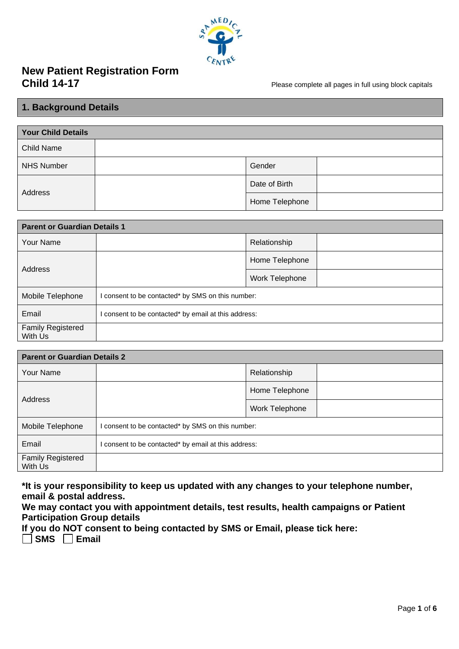

# **New Patient Registration Form**

Please complete all pages in full using block capitals

### **1. Background Details**

| <b>Your Child Details</b> |                |  |
|---------------------------|----------------|--|
| <b>Child Name</b>         |                |  |
| <b>NHS Number</b>         | Gender         |  |
| Address                   | Date of Birth  |  |
|                           | Home Telephone |  |

| <b>Parent or Guardian Details 1</b> |                                                      |                |  |
|-------------------------------------|------------------------------------------------------|----------------|--|
| Your Name                           |                                                      | Relationship   |  |
| Address                             |                                                      | Home Telephone |  |
|                                     |                                                      | Work Telephone |  |
| Mobile Telephone                    | I consent to be contacted* by SMS on this number:    |                |  |
| Email                               | I consent to be contacted* by email at this address: |                |  |
| <b>Family Registered</b><br>With Us |                                                      |                |  |

| <b>Parent or Guardian Details 2</b> |                                                    |                |  |
|-------------------------------------|----------------------------------------------------|----------------|--|
| Your Name                           |                                                    | Relationship   |  |
|                                     |                                                    | Home Telephone |  |
| Address                             |                                                    | Work Telephone |  |
| Mobile Telephone                    | consent to be contacted* by SMS on this number:    |                |  |
| Email                               | consent to be contacted* by email at this address: |                |  |
| <b>Family Registered</b><br>With Us |                                                    |                |  |

**\*It is your responsibility to keep us updated with any changes to your telephone number, email & postal address.**

**We may contact you with appointment details, test results, health campaigns or Patient Participation Group details**

**If you do NOT consent to being contacted by SMS or Email, please tick here: SMS Email**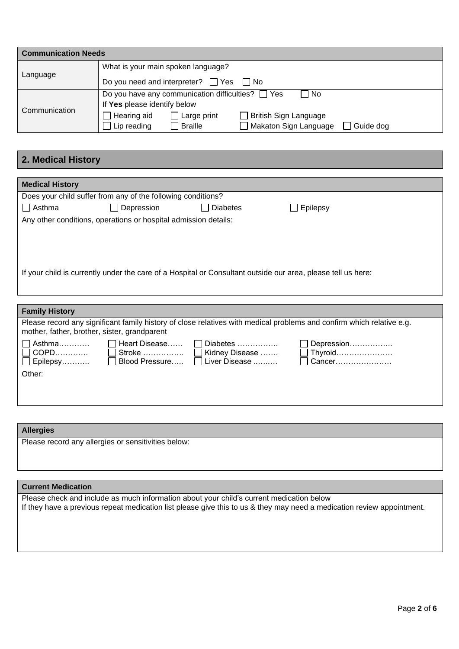| <b>Communication Needs</b> |                                                                            |
|----------------------------|----------------------------------------------------------------------------|
|                            | What is your main spoken language?                                         |
| Language                   | Do you need and interpreter? $\Box$ Yes $\Box$ No                          |
|                            | Do you have any communication difficulties? $\Box$ Yes<br>∣ No             |
| Communication              | If Yes please identify below                                               |
|                            | British Sign Language<br>Hearing aid<br>Large print                        |
|                            | Makaton Sign Language<br><b>Braille</b><br>Lip reading<br>$\Box$ Guide dog |

# **2. Medical History**

| <b>Medical History</b>                       |                                                                 |                                                                                                              |                                                                                                                       |
|----------------------------------------------|-----------------------------------------------------------------|--------------------------------------------------------------------------------------------------------------|-----------------------------------------------------------------------------------------------------------------------|
|                                              | Does your child suffer from any of the following conditions?    |                                                                                                              |                                                                                                                       |
| <b>O</b> Asthma                              | Depression                                                      | <b>Diabetes</b>                                                                                              | Epilepsy                                                                                                              |
|                                              | Any other conditions, operations or hospital admission details: |                                                                                                              |                                                                                                                       |
|                                              |                                                                 |                                                                                                              |                                                                                                                       |
|                                              |                                                                 |                                                                                                              |                                                                                                                       |
|                                              |                                                                 |                                                                                                              |                                                                                                                       |
|                                              |                                                                 | If your child is currently under the care of a Hospital or Consultant outside our area, please tell us here: |                                                                                                                       |
|                                              |                                                                 |                                                                                                              |                                                                                                                       |
|                                              |                                                                 |                                                                                                              |                                                                                                                       |
|                                              |                                                                 |                                                                                                              |                                                                                                                       |
| <b>Family History</b>                        |                                                                 |                                                                                                              |                                                                                                                       |
| mother, father, brother, sister, grandparent |                                                                 |                                                                                                              | Please record any significant family history of close relatives with medical problems and confirm which relative e.g. |
| Asthma                                       | Heart Disease                                                   | Diabetes                                                                                                     | Depression                                                                                                            |
| COPD                                         |                                                                 | Kidney Disease                                                                                               | $\Box$ Thyroid…………………                                                                                                 |
| Epilepsy                                     | Blood Pressure                                                  | Liver Disease                                                                                                | Cancer                                                                                                                |
| Other:                                       |                                                                 |                                                                                                              |                                                                                                                       |
|                                              |                                                                 |                                                                                                              |                                                                                                                       |
|                                              |                                                                 |                                                                                                              |                                                                                                                       |

| <b>Allergies</b>                                    |  |
|-----------------------------------------------------|--|
| Please record any allergies or sensitivities below: |  |

### **Current Medication**

Please check and include as much information about your child's current medication below If they have a previous repeat medication list please give this to us & they may need a medication review appointment.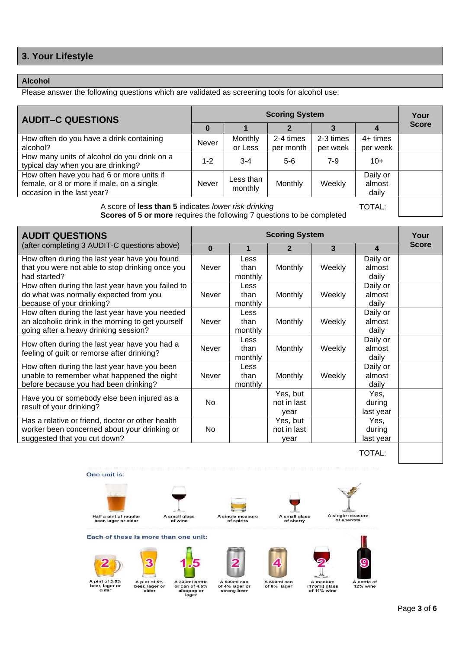# **3. Your Lifestyle**

### **Alcohol**

Please answer the following questions which are validated as screening tools for alcohol use:

| <b>AUDIT-C QUESTIONS</b>                                                                                             | <b>Scoring System</b> |                      |                        |                       |                             | Your         |
|----------------------------------------------------------------------------------------------------------------------|-----------------------|----------------------|------------------------|-----------------------|-----------------------------|--------------|
|                                                                                                                      |                       |                      |                        |                       |                             | <b>Score</b> |
| How often do you have a drink containing<br>alcohol?                                                                 | Never                 | Monthly<br>or Less   | 2-4 times<br>per month | 2-3 times<br>per week | $4+$ times<br>per week      |              |
| How many units of alcohol do you drink on a<br>typical day when you are drinking?                                    | $1 - 2$               | $3 - 4$              | $5-6$                  | 7-9                   | $10+$                       |              |
| How often have you had 6 or more units if<br>female, or 8 or more if male, on a single<br>occasion in the last year? | <b>Never</b>          | Less than<br>monthly | Monthly                | Weekly                | Daily or<br>almost<br>daily |              |
|                                                                                                                      |                       |                      |                        |                       |                             |              |

TOTAL: A score of **less than 5** indicates *lower risk drinking* **Scores of 5 or more** requires the following 7 questions to be completed

| <b>AUDIT QUESTIONS</b>                                                                                                                       | <b>Scoring System</b> |                         |                                 |        | Your                        |              |
|----------------------------------------------------------------------------------------------------------------------------------------------|-----------------------|-------------------------|---------------------------------|--------|-----------------------------|--------------|
| (after completing 3 AUDIT-C questions above)                                                                                                 | $\Omega$              | 1                       | 2                               | 3      | 4                           | <b>Score</b> |
| How often during the last year have you found<br>that you were not able to stop drinking once you<br>had started?                            | Never                 | Less<br>than<br>monthly | <b>Monthly</b>                  | Weekly | Daily or<br>almost<br>daily |              |
| How often during the last year have you failed to<br>do what was normally expected from you<br>because of your drinking?                     | <b>Never</b>          | Less<br>than<br>monthly | <b>Monthly</b>                  | Weekly | Daily or<br>almost<br>daily |              |
| How often during the last year have you needed<br>an alcoholic drink in the morning to get yourself<br>going after a heavy drinking session? | <b>Never</b>          | Less<br>than<br>monthly | <b>Monthly</b>                  | Weekly | Daily or<br>almost<br>daily |              |
| How often during the last year have you had a<br>feeling of guilt or remorse after drinking?                                                 | Never                 | Less<br>than<br>monthly | Monthly                         | Weekly | Daily or<br>almost<br>daily |              |
| How often during the last year have you been<br>unable to remember what happened the night<br>before because you had been drinking?          | <b>Never</b>          | Less<br>than<br>monthly | <b>Monthly</b>                  | Weekly | Daily or<br>almost<br>daily |              |
| Have you or somebody else been injured as a<br>result of your drinking?                                                                      | No.                   |                         | Yes, but<br>not in last<br>vear |        | Yes,<br>during<br>last year |              |
| Has a relative or friend, doctor or other health<br>worker been concerned about your drinking or<br>suggested that you cut down?             | No.                   |                         | Yes, but<br>not in last<br>vear |        | Yes.<br>during<br>last year |              |

TOTAL:



A pint of 3.5%<br>beer, lager or<br>cider

A pint of 5%<br>beer, lager or<br>cider A 330ml bottle<br>or can of 4.5%<br>alcopop or<br>lager

A 500ml can<br>of 4% lager or<br>strong beer

A 500ml can<br>of 8% lager

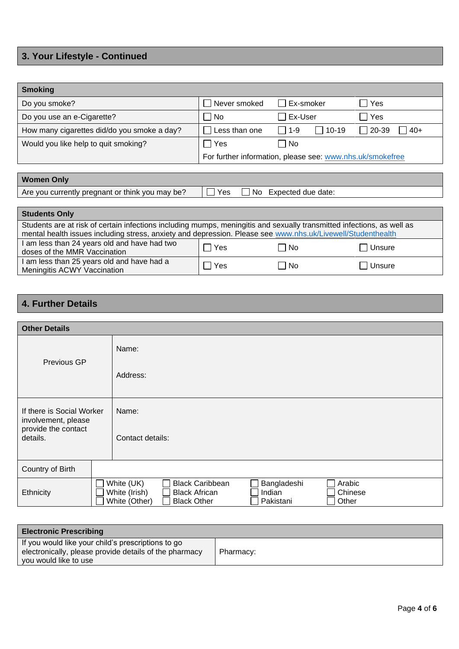# **3. Your Lifestyle - Continued**

| <b>Smoking</b>                                                                                                                                                                                                                        |                                 |                                                           |                |
|---------------------------------------------------------------------------------------------------------------------------------------------------------------------------------------------------------------------------------------|---------------------------------|-----------------------------------------------------------|----------------|
| Do you smoke?                                                                                                                                                                                                                         | Never smoked<br>$\mathsf{L}$    | Ex-smoker                                                 | Yes            |
| Do you use an e-Cigarette?                                                                                                                                                                                                            | No                              | $\Box$ Ex-User                                            | Yes            |
| How many cigarettes did/do you smoke a day?                                                                                                                                                                                           | Less than one                   | $10 - 19$<br>$\Box$ 1-9                                   | 20-39<br>$40+$ |
| Would you like help to quit smoking?                                                                                                                                                                                                  | l lYes                          | $\Box$ No                                                 |                |
|                                                                                                                                                                                                                                       |                                 | For further information, please see: www.nhs.uk/smokefree |                |
|                                                                                                                                                                                                                                       |                                 |                                                           |                |
| <b>Women Only</b>                                                                                                                                                                                                                     |                                 |                                                           |                |
| Are you currently pregnant or think you may be?                                                                                                                                                                                       | <b>Yes</b><br>No.               | Expected due date:                                        |                |
|                                                                                                                                                                                                                                       |                                 |                                                           |                |
| <b>Students Only</b>                                                                                                                                                                                                                  |                                 |                                                           |                |
| Students are at risk of certain infections including mumps, meningitis and sexually transmitted infections, as well as<br>mental health issues including stress, anxiety and depression. Please see www.nhs.uk/Livewell/Studenthealth |                                 |                                                           |                |
| I am less than 24 years old and have had two<br>doses of the MMR Vaccination                                                                                                                                                          | $\Box$<br>Yes                   | ∏ No                                                      | Unsure         |
| I am less than 25 years old and have had a<br>Meningitis ACWY Vaccination                                                                                                                                                             | $\overline{\phantom{a}}$<br>Yes | l INo                                                     | Unsure         |

# **4. Further Details**

| <b>Other Details</b>                             |  |                                                                                                                                                                                          |
|--------------------------------------------------|--|------------------------------------------------------------------------------------------------------------------------------------------------------------------------------------------|
| Previous GP                                      |  | Name:                                                                                                                                                                                    |
|                                                  |  | Address:                                                                                                                                                                                 |
| If there is Social Worker<br>involvement, please |  | Name:                                                                                                                                                                                    |
| provide the contact<br>details.                  |  | Contact details:                                                                                                                                                                         |
| Country of Birth                                 |  |                                                                                                                                                                                          |
| Ethnicity                                        |  | <b>Black Caribbean</b><br>White (UK)<br>Bangladeshi<br>Arabic<br>White (Irish)<br><b>Black African</b><br>Indian<br>Chinese<br>White (Other)<br><b>Black Other</b><br>Pakistani<br>Other |

| <b>Electronic Prescribing</b>                                                                                                         |           |
|---------------------------------------------------------------------------------------------------------------------------------------|-----------|
| If you would like your child's prescriptions to go<br>electronically, please provide details of the pharmacy<br>you would like to use | Pharmacy: |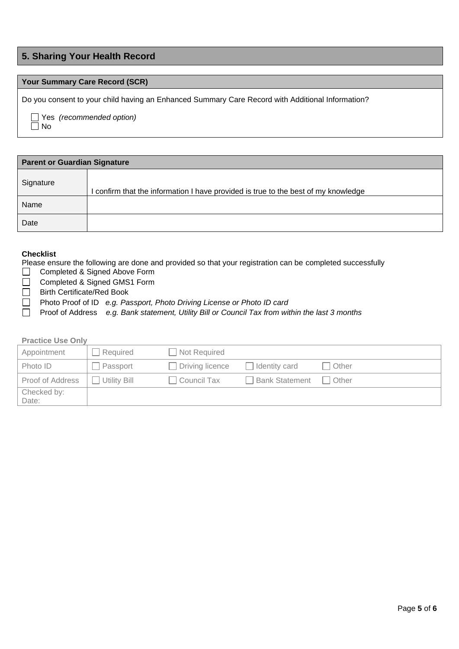### **5. Sharing Your Health Record**

### **Your Summary Care Record (SCR)**

Do you consent to your child having an Enhanced Summary Care Record with Additional Information?

 Yes *(recommended option)*  $\Box$  No

| <b>Parent or Guardian Signature</b> |                                                                                  |  |
|-------------------------------------|----------------------------------------------------------------------------------|--|
| Signature                           | confirm that the information I have provided is true to the best of my knowledge |  |
| Name                                |                                                                                  |  |
| Date                                |                                                                                  |  |

### **Checklist**

Please ensure the following are done and provided so that your registration can be completed successfully

- Completed & Signed Above Form  $\Box$
- $\Box$ Completed & Signed GMS1 Form
- Birth Certificate/Red Book  $\Box$
- Photo Proof of ID *e.g. Passport, Photo Driving License or Photo ID card* П
- $\Box$ Proof of Address *e.g. Bank statement, Utility Bill or Council Tax from within the last 3 months*

### **Practice Use Only**

| Appointment          | Required     | Not Required       |                |         |
|----------------------|--------------|--------------------|----------------|---------|
| Photo ID             | Passport     | Driving licence    | Identity card  | Other   |
| Proof of Address     | Utility Bill | <b>Council Tax</b> | Bank Statement | . Other |
| Checked by:<br>Date: |              |                    |                |         |